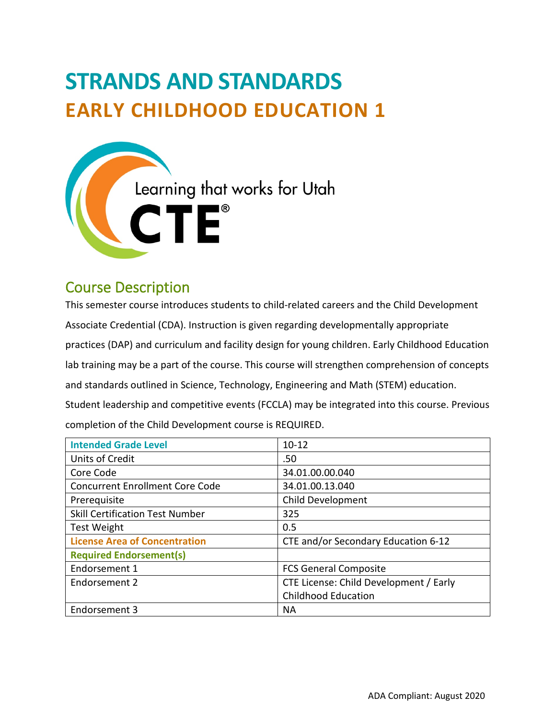# **STRANDS AND STANDARDS EARLY CHILDHOOD EDUCATION 1**



# Course Description

 This semester course introduces students to child-related careers and the Child Development lab training may be a part of the course. This course will strengthen comprehension of concepts  completion of the Child Development course is REQUIRED. Associate Credential (CDA). Instruction is given regarding developmentally appropriate practices (DAP) and curriculum and facility design for young children. Early Childhood Education and standards outlined in Science, Technology, Engineering and Math (STEM) education. Student leadership and competitive events (FCCLA) may be integrated into this course. Previous

| <b>Intended Grade Level</b>            | $10 - 12$                              |  |
|----------------------------------------|----------------------------------------|--|
| Units of Credit                        | .50                                    |  |
| Core Code                              | 34.01.00.00.040                        |  |
| <b>Concurrent Enrollment Core Code</b> | 34.01.00.13.040                        |  |
| Prerequisite                           | <b>Child Development</b>               |  |
| <b>Skill Certification Test Number</b> | 325                                    |  |
| <b>Test Weight</b>                     | 0.5                                    |  |
| <b>License Area of Concentration</b>   | CTE and/or Secondary Education 6-12    |  |
| <b>Required Endorsement(s)</b>         |                                        |  |
| Endorsement 1                          | <b>FCS General Composite</b>           |  |
| Endorsement 2                          | CTE License: Child Development / Early |  |
|                                        | <b>Childhood Education</b>             |  |
| Endorsement 3                          | <b>NA</b>                              |  |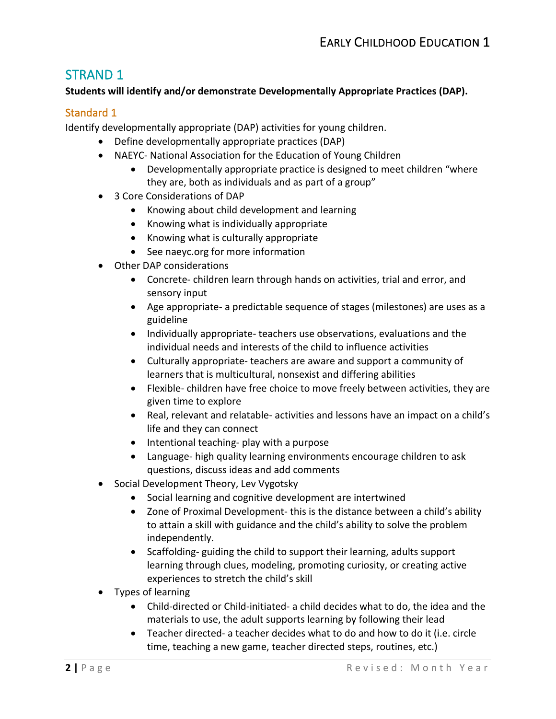## STRAND 1

### **Students will identify and/or demonstrate Developmentally Appropriate Practices (DAP).**

## Standard 1

Identify developmentally appropriate (DAP) activities for young children.

- Define developmentally appropriate practices (DAP)
- NAEYC- National Association for the Education of Young Children
	- Developmentally appropriate practice is designed to meet children "where they are, both as individuals and as part of a group"
- 3 Core Considerations of DAP
	- Knowing about child development and learning
	- Knowing what is individually appropriate
	- Knowing what is culturally appropriate
	- See [naeyc.org](https://naeyc.org) for more information
- Other DAP considerations
	- • Concrete- children learn through hands on activities, trial and error, and sensory input
	- • Age appropriate- a predictable sequence of stages (milestones) are uses as a guideline
	- Individually appropriate- teachers use observations, evaluations and the individual needs and interests of the child to influence activities
	- learners that is multicultural, nonsexist and differing abilities • Culturally appropriate- teachers are aware and support a community of
	- • Flexible- children have free choice to move freely between activities, they are given time to explore
	- Real, relevant and relatable- activities and lessons have an impact on a child's life and they can connect
	- Intentional teaching- play with a purpose
	- Language- high quality learning environments encourage children to ask questions, discuss ideas and add comments
- Social Development Theory, Lev Vygotsky
	- Social learning and cognitive development are intertwined
	- Zone of Proximal Development- this is the distance between a child's ability to attain a skill with guidance and the child's ability to solve the problem independently.
	- Scaffolding- guiding the child to support their learning, adults support learning through clues, modeling, promoting curiosity, or creating active experiences to stretch the child's skill
- Types of learning
	- Child-directed or Child-initiated- a child decides what to do, the idea and the materials to use, the adult supports learning by following their lead
	- Teacher directed- a teacher decides what to do and how to do it (i.e. circle time, teaching a new game, teacher directed steps, routines, etc.)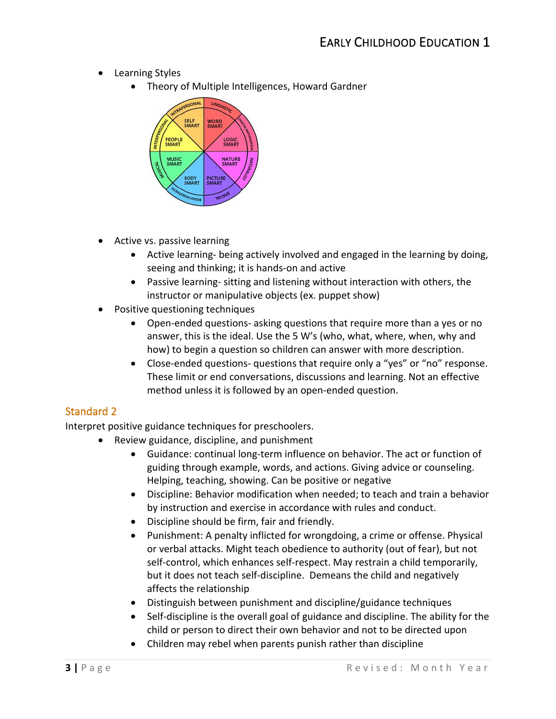- Learning Styles
	- Theory of Multiple Intelligences, Howard Gardner



- Active vs. passive learning
	- • Active learning- being actively involved and engaged in the learning by doing, seeing and thinking; it is hands-on and active
	- Passive learning- sitting and listening without interaction with others, the instructor or manipulative objects (ex. puppet show)
- Positive questioning techniques
	- answer, this is the ideal. Use the 5 W's (who, what, where, when, why and how) to begin a question so children can answer with more description. • Open-ended questions- asking questions that require more than a yes or no
	- These limit or end conversations, discussions and learning. Not an effective • Close-ended questions- questions that require only a "yes" or "no" response. method unless it is followed by an open-ended question.

## Standard 2

Interpret positive guidance techniques for preschoolers.

- Review guidance, discipline, and punishment
	- Guidance: continual long-term influence on behavior. The act or function of • guiding through example, words, and actions. Giving advice or counseling. Helping, teaching, showing. Can be positive or negative
	- Discipline: Behavior modification when needed; to teach and train a behavior by instruction and exercise in accordance with rules and conduct.
	- Discipline should be firm, fair and friendly.
	- Punishment: A penalty inflicted for wrongdoing, a crime or offense. Physical or verbal attacks. Might teach obedience to authority (out of fear), but not but it does not teach self-discipline. Demeans the child and negatively • self-control, which enhances self-respect. May restrain a child temporarily, affects the relationship
	- Distinguish between punishment and discipline/guidance techniques
	- Self-discipline is the overall goal of guidance and discipline. The ability for the • child or person to direct their own behavior and not to be directed upon
	- Children may rebel when parents punish rather than discipline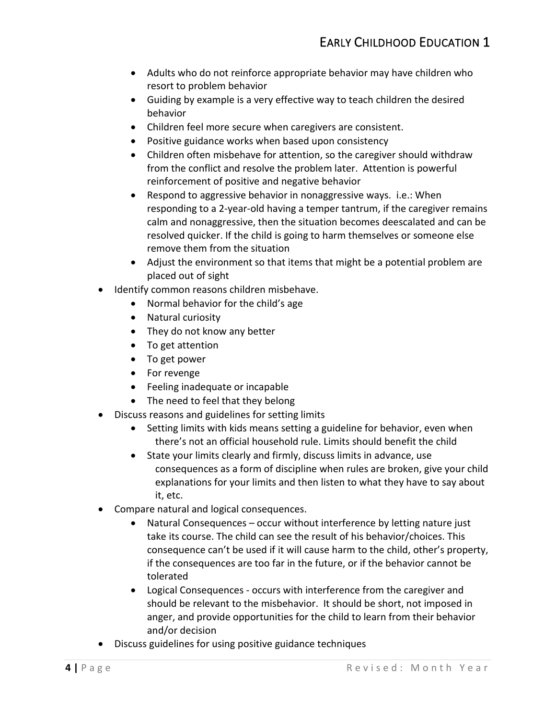- Adults who do not reinforce appropriate behavior may have children who resort to problem behavior
- • Guiding by example is a very effective way to teach children the desired behavior
- 
- • Children feel more secure when caregivers are consistent. Positive guidance works when based upon consistency Positive guidance works when based upon consistency •
- from the conflict and resolve the problem later. Attention is powerful • Children often misbehave for attention, so the caregiver should withdraw reinforcement of positive and negative behavior
- resolved quicker. If the child is going to harm themselves or someone else remove them from the situation • Respond to aggressive behavior in nonaggressive ways. i.e.: When responding to a 2-year-old having a temper tantrum, if the caregiver remains calm and nonaggressive, then the situation becomes deescalated and can be
- Adjust the environment so that items that might be a potential problem are placed out of sight
- Identify common reasons children misbehave.
	- Normal behavior for the child's age
	- Natural curiosity
	- They do not know any better
	- To get attention
	- To get power
	- For revenge
	- Feeling inadequate or incapable
	- The need to feel that they belong
- Discuss reasons and guidelines for setting limits
	- Setting limits with kids means setting a guideline for behavior, even when there's not an official household rule. Limits should benefit the child
	- • State your limits clearly and firmly, discuss limits in advance, use consequences as a form of discipline when rules are broken, give your child explanations for your limits and then listen to what they have to say about it, etc.
- Compare natural and logical consequences.
	- take its course. The child can see the result of his behavior/choices. This consequence can't be used if it will cause harm to the child, other's property, • Natural Consequences – occur without interference by letting nature just if the consequences are too far in the future, or if the behavior cannot be tolerated
	- Logical Consequences occurs with interference from the caregiver and should be relevant to the misbehavior. It should be short, not imposed in anger, and provide opportunities for the child to learn from their behavior and/or decision
- Discuss guidelines for using positive guidance techniques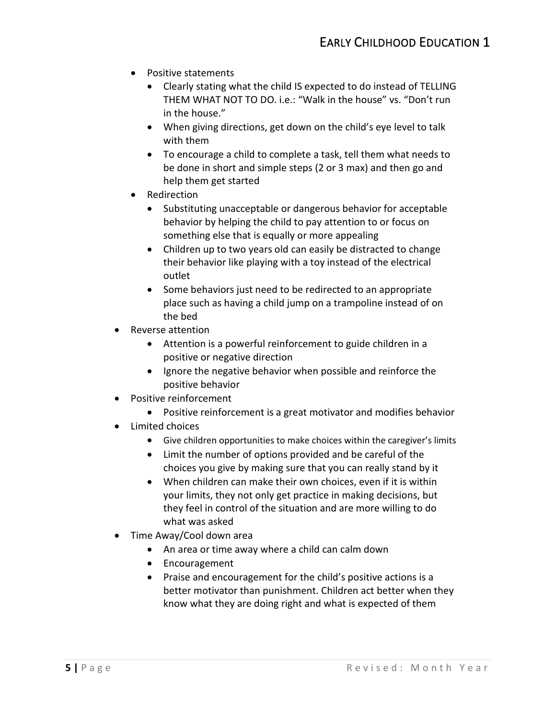- Positive statements
	- • Clearly stating what the child IS expected to do instead of TELLING THEM WHAT NOT TO DO. i.e.: "Walk in the house" vs. "Don't run in the house."
	- • When giving directions, get down on the child's eye level to talk with them
	- • To encourage a child to complete a task, tell them what needs to be done in short and simple steps (2 or 3 max) and then go and help them get started
- Redirection
	- behavior by helping the child to pay attention to or focus on something else that is equally or more appealing • Substituting unacceptable or dangerous behavior for acceptable
	- • Children up to two years old can easily be distracted to change their behavior like playing with a toy instead of the electrical outlet
	- • Some behaviors just need to be redirected to an appropriate place such as having a child jump on a trampoline instead of on the bed
- Reverse attention
	- Attention is a powerful reinforcement to guide children in a positive or negative direction
	- Ignore the negative behavior when possible and reinforce the positive behavior
- Positive reinforcement
	- Positive reinforcement is a great motivator and modifies behavior
- Limited choices
	- Give children opportunities to make choices within the caregiver's limits
	- Limit the number of options provided and be careful of the choices you give by making sure that you can really stand by it
	- • When children can make their own choices, even if it is within your limits, they not only get practice in making decisions, but they feel in control of the situation and are more willing to do what was asked
- Time Away/Cool down area
	- An area or time away where a child can calm down
	- Encouragement
	- know what they are doing right and what is expected of them • Praise and encouragement for the child's positive actions is a better motivator than punishment. Children act better when they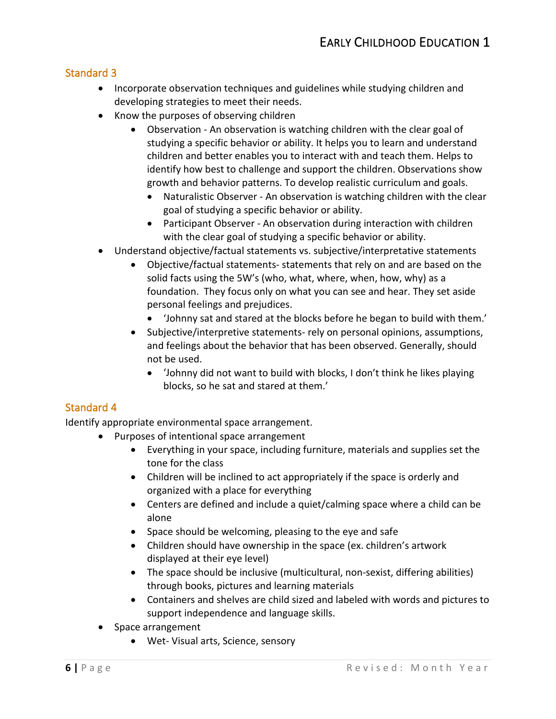## Standard 3

- Incorporate observation techniques and guidelines while studying children and developing strategies to meet their needs.
- Know the purposes of observing children
	- growth and behavior patterns. To develop realistic curriculum and goals. • Observation - An observation is watching children with the clear goal of studying a specific behavior or ability. It helps you to learn and understand children and better enables you to interact with and teach them. Helps to identify how best to challenge and support the children. Observations show
		- Naturalistic Observer An observation is watching children with the clear goal of studying a specific behavior or ability.
		- Participant Observer An observation during interaction with children with the clear goal of studying a specific behavior or ability.
- Understand objective/factual statements vs. subjective/interpretative statements
	- solid facts using the 5W's (who, what, where, when, how, why) as a foundation. They focus only on what you can see and hear. They set aside personal feelings and prejudices. • Objective/factual statements- statements that rely on and are based on the
		- personal feelings and prejudices.<br>• Yohnny sat and stared at the blocks before he began to build with them.'
	- and feelings about the behavior that has been observed. Generally, should • Subjective/interpretive statements- rely on personal opinions, assumptions, not be used.
		- • 'Johnny did not want to build with blocks, I don't think he likes playing blocks, so he sat and stared at them.'

## Standard 4

Identify appropriate environmental space arrangement.

- Purposes of intentional space arrangement
	- • Everything in your space, including furniture, materials and supplies set the tone for the class
	- Children will be inclined to act appropriately if the space is orderly and organized with a place for everything
	- Centers are defined and include a quiet/calming space where a child can be alone
	- Space should be welcoming, pleasing to the eye and safe
	- Children should have ownership in the space (ex. children's artwork displayed at their eye level)
	- The space should be inclusive (multicultural, non-sexist, differing abilities) through books, pictures and learning materials
	- Containers and shelves are child sized and labeled with words and pictures to support independence and language skills.
- Space arrangement
	- Wet- Visual arts, Science, sensory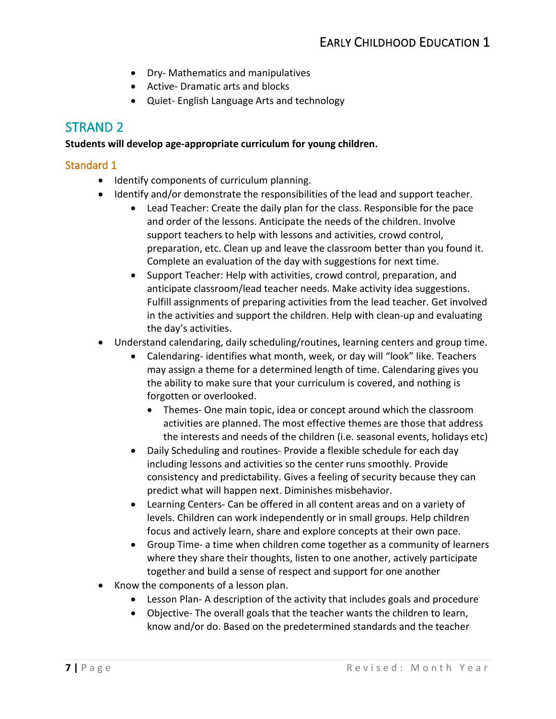- Dry- Mathematics and manipulatives
- Active- Dramatic arts and blocks
- Quiet- English Language Arts and technology

## STRAND 2

#### **Students will develop age-appropriate curriculum for young children.**

#### Standard 1

- Identify components of curriculum planning.
- Identify and/or demonstrate the responsibilities of the lead and support teacher.
	- Lead Teacher: Create the daily plan for the class. Responsible for the pace support teachers to help with lessons and activities, crowd control,  $\bullet$ and order of the lessons. Anticipate the needs of the children. Involve preparation, etc. Clean up and leave the classroom better than you found it. Complete an evaluation of the day with suggestions for next time.
	- Support Teacher: Help with activities, crowd control, preparation, and anticipate classroom/lead teacher needs. Make activity idea suggestions. Fulfill assignments of preparing activities from the lead teacher. Get involved in the activities and support the children. Help with clean-up and evaluating the day's activities.
- Understand calendaring, daily scheduling/routines, learning centers and group time.
	- Calendaring- identifies what month, week, or day will "look" like. Teachers • may assign a theme for a determined length of time. Calendaring gives you the ability to make sure that your curriculum is covered, and nothing is forgotten or overlooked.
		- Themes- One main topic, idea or concept around which the classroom activities are planned. The most effective themes are those that address the interests and needs of the children (i.e. seasonal events, holidays etc)
	- Daily Scheduling and routines- Provide a flexible schedule for each day predict what will happen next. Diminishes misbehavior. • including lessons and activities so the center runs smoothly. Provide consistency and predictability. Gives a feeling of security because they can
	- Learning Centers- Can be offered in all content areas and on a variety of levels. Children can work independently or in small groups. Help children focus and actively learn, share and explore concepts at their own pace.
	- where they share their thoughts, listen to one another, actively participate • Group Time- a time when children come together as a community of learners together and build a sense of respect and support for one another
- Know the components of a lesson plan.
	- Lesson Plan- A description of the activity that includes goals and procedure
	- Objective- The overall goals that the teacher wants the children to learn, know and/or do. Based on the predetermined standards and the teacher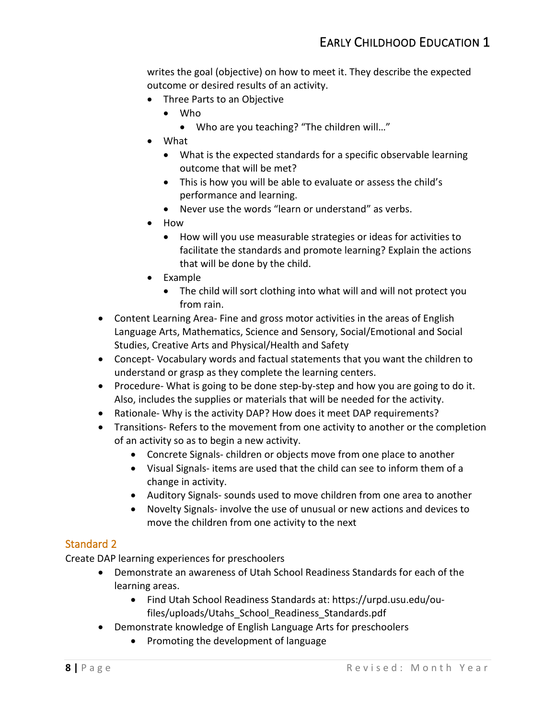writes the goal (objective) on how to meet it. They describe the expected outcome or desired results of an activity.

- Three Parts to an Objective
	- Who
		- Who are you teaching? "The children will…"
- What
	- What is the expected standards for a specific observable learning outcome that will be met?
	- • This is how you will be able to evaluate or assess the child's performance and learning.
	- Never use the words "learn or understand" as verbs.
- How
	- • How will you use measurable strategies or ideas for activities to that will be done by the child. facilitate the standards and promote learning? Explain the actions
- Example
	- from rain. • The child will sort clothing into what will and will not protect you
- from rain.<br>Content Learning Area- Fine and gross motor activities in the areas of English<br>Content Learning Area- Fine and gross motor activities in the areas of English Language Arts, Mathematics, Science and Sensory, Social/Emotional and Social Studies, Creative Arts and Physical/Health and Safety
- • Concept- Vocabulary words and factual statements that you want the children to understand or grasp as they complete the learning centers.
- • Procedure- What is going to be done step-by-step and how you are going to do it. Also, includes the supplies or materials that will be needed for the activity.
- Rationale- Why is the activity DAP? How does it meet DAP requirements?
- • Transitions- Refers to the movement from one activity to another or the completion of an activity so as to begin a new activity.
	- Concrete Signals- children or objects move from one place to another
	- Visual Signals- items are used that the child can see to inform them of a change in activity.
	- Auditory Signals- sounds used to move children from one area to another
	- Novelty Signals- involve the use of unusual or new actions and devices to • move the children from one activity to the next

## Standard 2

Create DAP learning experiences for preschoolers

- • Demonstrate an awareness of Utah School Readiness Standards for each of the learning areas.
	- - Find Utah School Readiness Standards at:<https://urpd.usu.edu/ou> files/uploads/Utahs\_School\_Readiness\_Standards.pdf
- • Demonstrate knowledge of English Language Arts for preschoolers
	- Promoting the development of language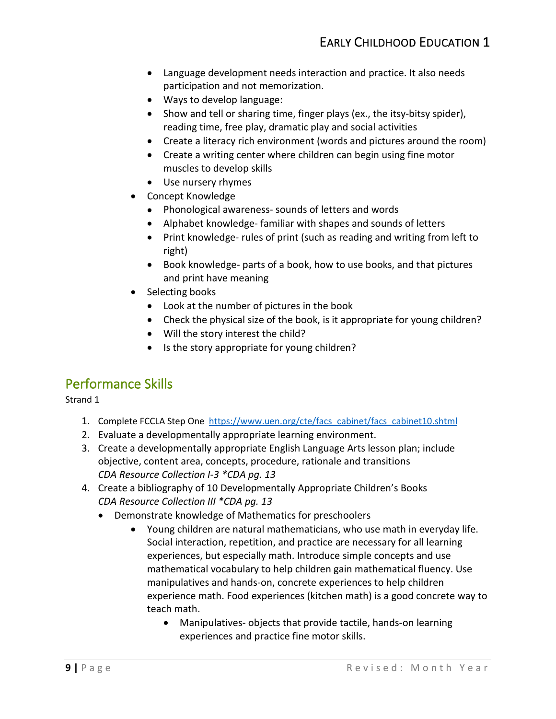- Language development needs interaction and practice. It also needs participation and not memorization.
- Ways to develop language:
- • Show and tell or sharing time, finger plays (ex., the itsy-bitsy spider), reading time, free play, dramatic play and social activities
- Create a literacy rich environment (words and pictures around the room)
- Create a writing center where children can begin using fine motor muscles to develop skills
- Use nursery rhymes
- Concept Knowledge
	- Phonological awareness- sounds of letters and words
	- Alphabet knowledge- familiar with shapes and sounds of letters
	- Print knowledge- rules of print (such as reading and writing from left to right)
	- Book knowledge- parts of a book, how to use books, and that pictures and print have meaning
- Selecting books
	- Look at the number of pictures in the book
	- Check the physical size of the book, is it appropriate for young children?
	- Will the story interest the child?
	- Is the story appropriate for young children?

## Performance Skills

Strand 1

- 1. Complete FCCLA Step One [https://www.uen.org/cte/facs\\_cabinet/facs\\_cabinet10.shtml](https://www.uen.org/cte/facs_cabinet/facs_cabinet10.shtml)
- 2. Evaluate a developmentally appropriate learning environment.
- 3. Create a developmentally appropriate English Language Arts lesson plan; include objective, content area, concepts, procedure, rationale and transitions *CDA Resource Collection I-3 \*CDA pg. 13*
- 4. Create a bibliography of 10 Developmentally Appropriate Children's Books  *CDA Resource Collection III \*CDA pg. 13*
	- • Demonstrate knowledge of Mathematics for preschoolers
		- • Young children are natural mathematicians, who use math in everyday life. Social interaction, repetition, and practice are necessary for all learning experience math. Food experiences (kitchen math) is a good concrete way to experiences, but especially math. Introduce simple concepts and use mathematical vocabulary to help children gain mathematical fluency. Use manipulatives and hands-on, concrete experiences to help children teach math.
			- Manipulatives- objects that provide tactile, hands-on learning experiences and practice fine motor skills.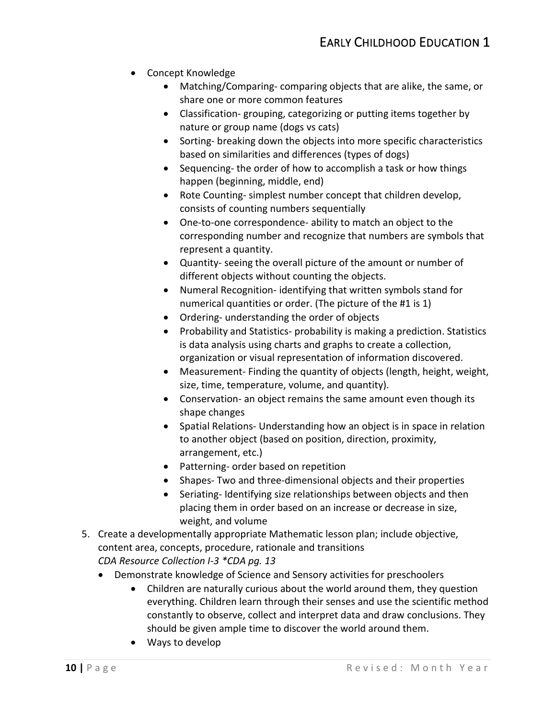- Concept Knowledge
	- • Matching/Comparing- comparing objects that are alike, the same, or share one or more common features
	- • Classification- grouping, categorizing or putting items together by nature or group name (dogs vs cats)
	- based on similarities and differences (types of dogs) • Sorting- breaking down the objects into more specific characteristics
	- Sequencing- the order of how to accomplish a task or how things happen (beginning, middle, end)
	- consists of counting numbers sequentially • Rote Counting- simplest number concept that children develop,
	- represent a quantity. consists of counting numbers sequentially<br>• One-to-one correspondence- ability to match an object to the corresponding number and recognize that numbers are symbols that
	- Quantity- seeing the overall picture of the amount or number of different objects without counting the objects.
	- numerical quantities or order. (The picture of the #1 is 1) • Numeral Recognition- identifying that written symbols stand for
	- Ordering- understanding the order of objects
	- • Probability and Statistics- probability is making a prediction. Statistics is data analysis using charts and graphs to create a collection, organization or visual representation of information discovered.
	- • Measurement- Finding the quantity of objects (length, height, weight, size, time, temperature, volume, and quantity).
	- Conservation- an object remains the same amount even though its shape changes
	- to another object (based on position, direction, proximity, • Spatial Relations- Understanding how an object is in space in relation arrangement, etc.)
	- Patterning- order based on repetition
	- Shapes- Two and three-dimensional objects and their properties
	- Seriating- Identifying size relationships between objects and then placing them in order based on an increase or decrease in size, weight, and volume
- 5. Create a developmentally appropriate Mathematic lesson plan; include objective, content area, concepts, procedure, rationale and transitions *CDA Resource Collection I-3 \*CDA pg. 13* 
	- Demonstrate knowledge of Science and Sensory activities for preschoolers
		- everything. Children learn through their senses and use the scientific method should be given ample time to discover the world around them. • Children are naturally curious about the world around them, they question constantly to observe, collect and interpret data and draw conclusions. They
		- Ways to develop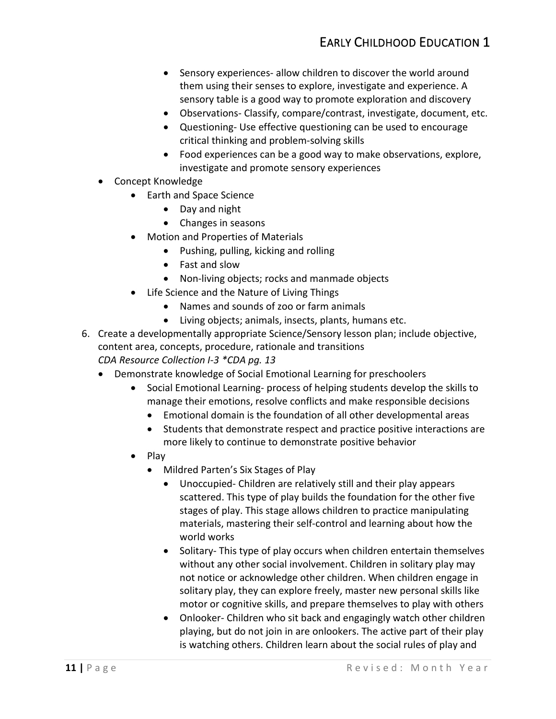- • Sensory experiences- allow children to discover the world around them using their senses to explore, investigate and experience. A sensory table is a good way to promote exploration and discovery
- Observations- Classify, compare/contrast, investigate, document, etc.
- Questioning- Use effective questioning can be used to encourage critical thinking and problem-solving skills
- investigate and promote sensory experiences • Food experiences can be a good way to make observations, explore,
- Concept Knowledge
	- Earth and Space Science
		- Day and night
		- Changes in seasons
	- Motion and Properties of Materials
		- Pushing, pulling, kicking and rolling
		- Fast and slow
		- Non-living objects; rocks and manmade objects
	- Life Science and the Nature of Living Things
		- Names and sounds of zoo or farm animals
		- Living objects; animals, insects, plants, humans etc.
- 6. Create a developmentally appropriate Science/Sensory lesson plan; include objective, content area, concepts, procedure, rationale and transitions *CDA Resource Collection I-3 \*CDA pg. 13* 
	- Demonstrate knowledge of Social Emotional Learning for preschoolers
		- Social Emotional Learning- process of helping students develop the skills to • manage their emotions, resolve conflicts and make responsible decisions
			- Emotional domain is the foundation of all other developmental areas
			- more likely to continue to demonstrate positive behavior • Students that demonstrate respect and practice positive interactions are
		- Play
			- Mildred Parten's Six Stages of Play
				- Unoccupied- Children are relatively still and their play appears scattered. This type of play builds the foundation for the other five stages of play. This stage allows children to practice manipulating materials, mastering their self-control and learning about how the world works
				- without any other social involvement. Children in solitary play may motor or cognitive skills, and prepare themselves to play with others • Solitary- This type of play occurs when children entertain themselves not notice or acknowledge other children. When children engage in solitary play, they can explore freely, master new personal skills like
				- playing, but do not join in are onlookers. The active part of their play is watching others. Children learn about the social rules of play and • Onlooker- Children who sit back and engagingly watch other children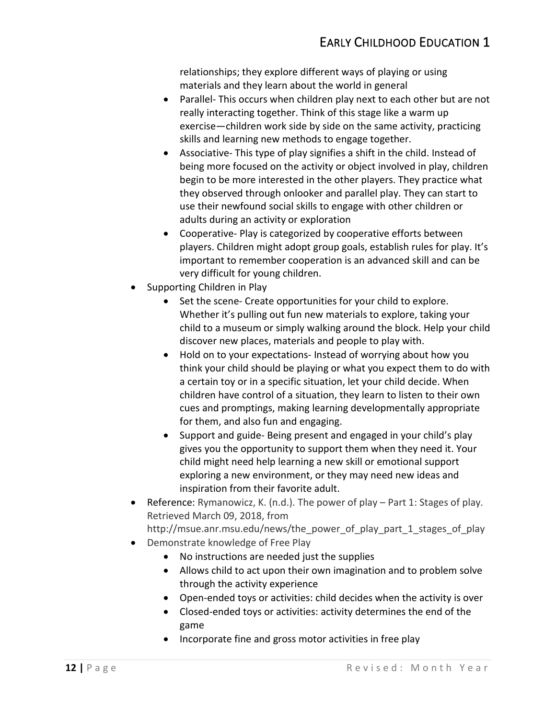relationships; they explore different ways of playing or using materials and they learn about the world in general

- skills and learning new methods to engage together. • Parallel- This occurs when children play next to each other but are not really interacting together. Think of this stage like a warm up exercise—children work side by side on the same activity, practicing
- begin to be more interested in the other players. They practice what they observed through onlooker and parallel play. They can start to • Associative- This type of play signifies a shift in the child. Instead of being more focused on the activity or object involved in play, children use their newfound social skills to engage with other children or adults during an activity or exploration
- players. Children might adopt group goals, establish rules for play. It's important to remember cooperation is an advanced skill and can be very difficult for young children. Supporting Children in Play • Cooperative- Play is categorized by cooperative efforts between
- Supporting Children in Play
	- Whether it's pulling out fun new materials to explore, taking your • Set the scene- Create opportunities for your child to explore. child to a museum or simply walking around the block. Help your child discover new places, materials and people to play with.
	- think your child should be playing or what you expect them to do with children have control of a situation, they learn to listen to their own for them, and also fun and engaging. • Hold on to your expectations- Instead of worrying about how you a certain toy or in a specific situation, let your child decide. When cues and promptings, making learning developmentally appropriate
	- gives you the opportunity to support them when they need it. Your • Support and guide- Being present and engaged in your child's play child might need help learning a new skill or emotional support exploring a new environment, or they may need new ideas and inspiration from their favorite adult.
- Reference: Rymanowicz, K. (n.d.). The power of play Part 1: Stages of play. • Retrieved March 09, 2018, from [http://msue.anr.msu.edu/news/the\\_power\\_of\\_play\\_part\\_1\\_stages\\_of\\_play](http://msue.anr.msu.edu/news/the_power_of_play_part_1_stages_of_play)
- Demonstrate knowledge of Free Play
	- No instructions are needed just the supplies
	- Allows child to act upon their own imagination and to problem solve through the activity experience
	- Open-ended toys or activities: child decides when the activity is over
	- Closed-ended toys or activities: activity determines the end of the game
	- Incorporate fine and gross motor activities in free play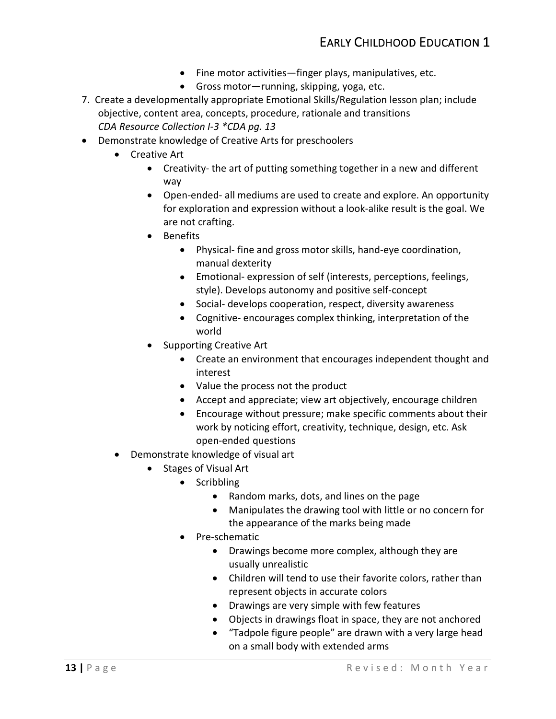- Fine motor activities—finger plays, manipulatives, etc.
- Gross motor—running, skipping, yoga, etc.
- 7. Create a developmentally appropriate Emotional Skills/Regulation lesson plan; include objective, content area, concepts, procedure, rationale and transitions *CDA Resource Collection I-3 \*CDA pg. 13*
- Demonstrate knowledge of Creative Arts for preschoolers
	- Creative Art
		- Creativity- the art of putting something together in a new and different way
		- Open-ended- all mediums are used to create and explore. An opportunity for exploration and expression without a look-alike result is the goal. We are not crafting.
		- Benefits
			- Physical- fine and gross motor skills, hand-eye coordination, manual dexterity
			- Emotional- expression of self (interests, perceptions, feelings, style). Develops autonomy and positive self-concept
			- Social- develops cooperation, respect, diversity awareness
			- Cognitive- encourages complex thinking, interpretation of the world
		- Supporting Creative Art
			- Create an environment that encourages independent thought and interest
			- Value the process not the product
			- Accept and appreciate; view art objectively, encourage children
			- Encourage without pressure; make specific comments about their work by noticing effort, creativity, technique, design, etc. Ask open-ended questions
	- Demonstrate knowledge of visual art
		- Stages of Visual Art
			- Scribbling
				- Random marks, dots, and lines on the page
				- Manipulates the drawing tool with little or no concern for the appearance of the marks being made
			- Pre-schematic
				- • Drawings become more complex, although they are usually unrealistic
				- • Children will tend to use their favorite colors, rather than represent objects in accurate colors
				- Drawings are very simple with few features
				- Objects in drawings float in space, they are not anchored
				- • "Tadpole figure people" are drawn with a very large head on a small body with extended arms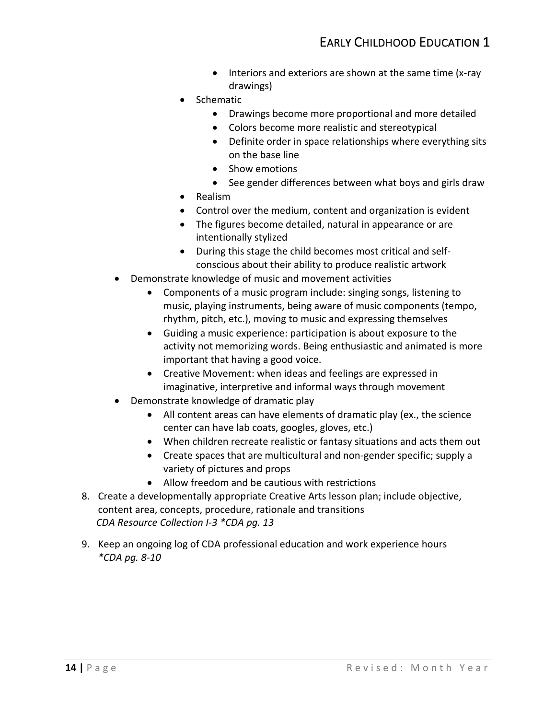- Interiors and exteriors are shown at the same time (x-ray drawings)
- Schematic
	- Drawings become more proportional and more detailed
	- Colors become more realistic and stereotypical
	- Definite order in space relationships where everything sits on the base line
	- Show emotions
	- See gender differences between what boys and girls draw
- Realism
- Control over the medium, content and organization is evident
- • The figures become detailed, natural in appearance or are intentionally stylized
- During this stage the child becomes most critical and selfconscious about their ability to produce realistic artwork
- Demonstrate knowledge of music and movement activities
	- • Components of a music program include: singing songs, listening to music, playing instruments, being aware of music components (tempo, rhythm, pitch, etc.), moving to music and expressing themselves
	- • Guiding a music experience: participation is about exposure to the activity not memorizing words. Being enthusiastic and animated is more important that having a good voice.
	- Creative Movement: when ideas and feelings are expressed in imaginative, interpretive and informal ways through movement
- Demonstrate knowledge of dramatic play
	- All content areas can have elements of dramatic play (ex., the science center can have lab coats, googles, gloves, etc.)
	- When children recreate realistic or fantasy situations and acts them out
	- variety of pictures and props • Create spaces that are multicultural and non-gender specific; supply a
	- Allow freedom and be cautious with restrictions
- *CDA Resource Collection I-3 \*CDA pg. 13* 8. Create a developmentally appropriate Creative Arts lesson plan; include objective, content area, concepts, procedure, rationale and transitions
- 9. Keep an ongoing log of CDA professional education and work experience hours  *\*CDA pg. 8-10*